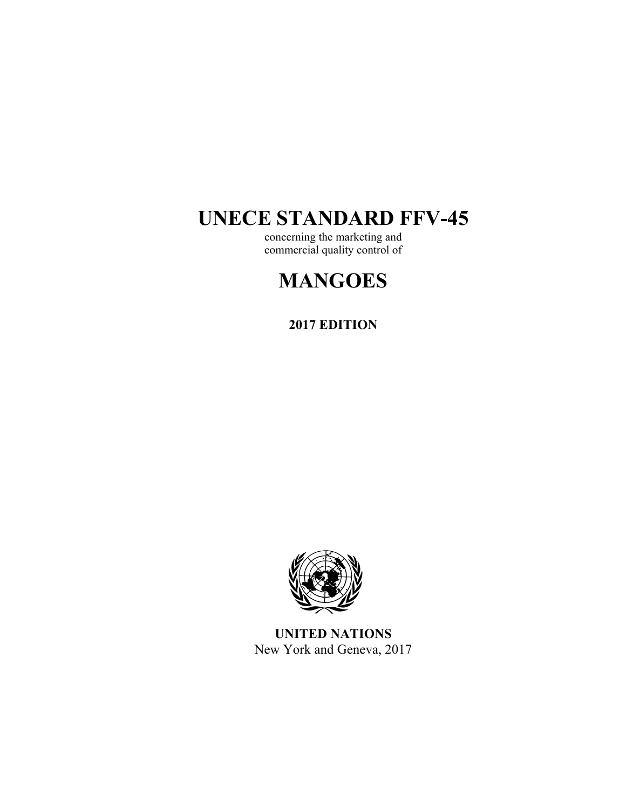# **UNECE STANDARD FFV-45**

concerning the marketing and commercial quality control of

# **MANGOES**

**2017 EDITION** 



**UNITED NATIONS**  New York and Geneva, 2017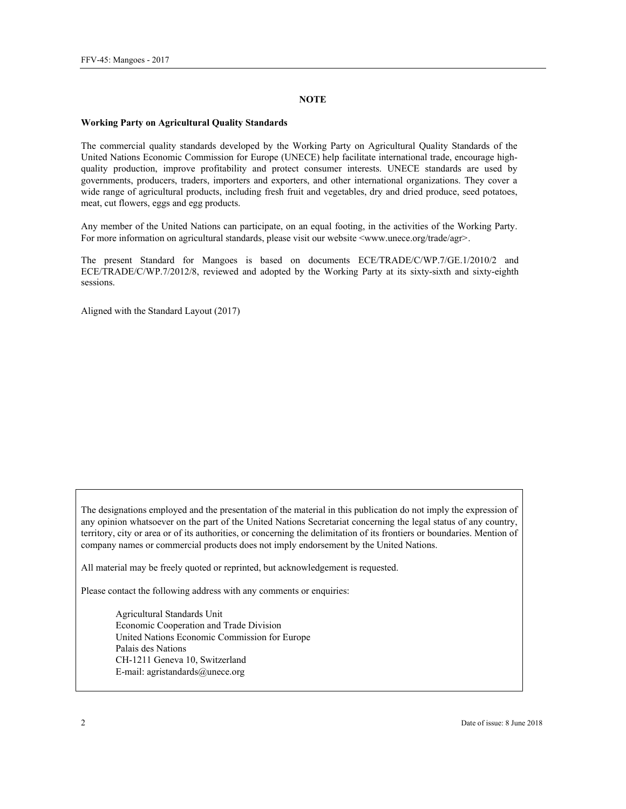#### **NOTE**

#### **Working Party on Agricultural Quality Standards**

The commercial quality standards developed by the Working Party on Agricultural Quality Standards of the United Nations Economic Commission for Europe (UNECE) help facilitate international trade, encourage highquality production, improve profitability and protect consumer interests. UNECE standards are used by governments, producers, traders, importers and exporters, and other international organizations. They cover a wide range of agricultural products, including fresh fruit and vegetables, dry and dried produce, seed potatoes, meat, cut flowers, eggs and egg products.

Any member of the United Nations can participate, on an equal footing, in the activities of the Working Party. For more information on agricultural standards, please visit our website  $\langle$ www.unece.org/trade/agr>.

The present Standard for Mangoes is based on documents ECE/TRADE/C/WP.7/GE.1/2010/2 and ECE/TRADE/C/WP.7/2012/8, reviewed and adopted by the Working Party at its sixty-sixth and sixty-eighth sessions.

Aligned with the Standard Layout (2017)

The designations employed and the presentation of the material in this publication do not imply the expression of any opinion whatsoever on the part of the United Nations Secretariat concerning the legal status of any country, territory, city or area or of its authorities, or concerning the delimitation of its frontiers or boundaries. Mention of company names or commercial products does not imply endorsement by the United Nations.

All material may be freely quoted or reprinted, but acknowledgement is requested.

Please contact the following address with any comments or enquiries:

Agricultural Standards Unit Economic Cooperation and Trade Division United Nations Economic Commission for Europe Palais des Nations CH-1211 Geneva 10, Switzerland E-mail: agristandards@unece.org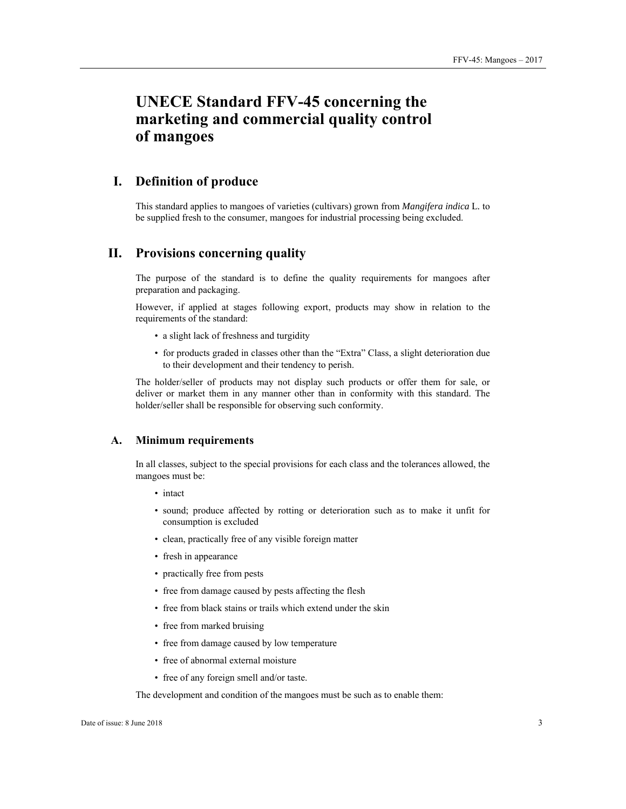# **UNECE Standard FFV-45 concerning the marketing and commercial quality control of mangoes**

## **I. Definition of produce**

This standard applies to mangoes of varieties (cultivars) grown from *Mangifera indica* L*.* to be supplied fresh to the consumer, mangoes for industrial processing being excluded.

## **II. Provisions concerning quality**

The purpose of the standard is to define the quality requirements for mangoes after preparation and packaging.

However, if applied at stages following export, products may show in relation to the requirements of the standard:

- a slight lack of freshness and turgidity
- for products graded in classes other than the "Extra" Class, a slight deterioration due to their development and their tendency to perish.

The holder/seller of products may not display such products or offer them for sale, or deliver or market them in any manner other than in conformity with this standard. The holder/seller shall be responsible for observing such conformity.

#### **A. Minimum requirements**

In all classes, subject to the special provisions for each class and the tolerances allowed, the mangoes must be:

- intact
- sound; produce affected by rotting or deterioration such as to make it unfit for consumption is excluded
- clean, practically free of any visible foreign matter
- fresh in appearance
- practically free from pests
- free from damage caused by pests affecting the flesh
- free from black stains or trails which extend under the skin
- free from marked bruising
- free from damage caused by low temperature
- free of abnormal external moisture
- free of any foreign smell and/or taste.

The development and condition of the mangoes must be such as to enable them: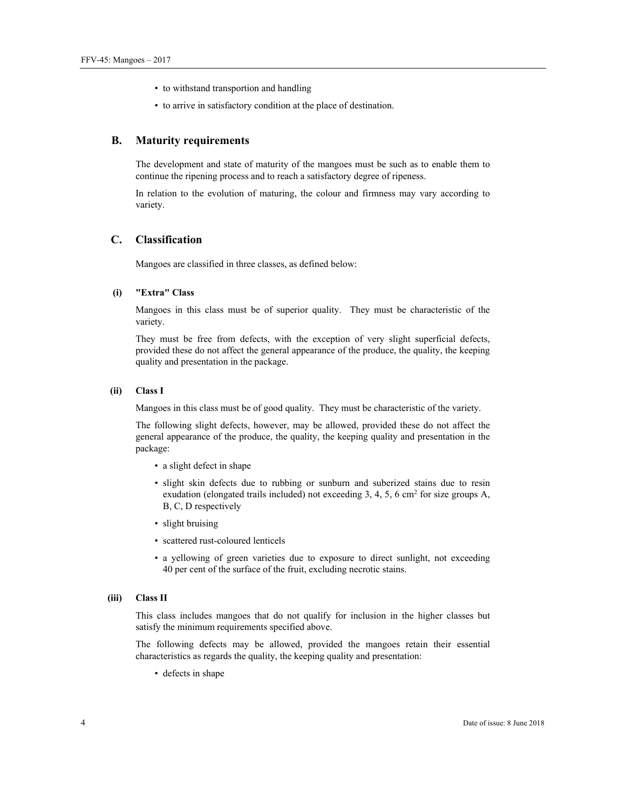- to withstand transportion and handling
- to arrive in satisfactory condition at the place of destination.

#### **B. Maturity requirements**

The development and state of maturity of the mangoes must be such as to enable them to continue the ripening process and to reach a satisfactory degree of ripeness.

In relation to the evolution of maturing, the colour and firmness may vary according to variety.

#### **C. Classification**

Mangoes are classified in three classes, as defined below:

#### **(i) "Extra" Class**

Mangoes in this class must be of superior quality. They must be characteristic of the variety.

They must be free from defects, with the exception of very slight superficial defects, provided these do not affect the general appearance of the produce, the quality, the keeping quality and presentation in the package.

#### **(ii) Class I**

Mangoes in this class must be of good quality. They must be characteristic of the variety.

The following slight defects, however, may be allowed, provided these do not affect the general appearance of the produce, the quality, the keeping quality and presentation in the package:

- a slight defect in shape
- slight skin defects due to rubbing or sunburn and suberized stains due to resin exudation (elongated trails included) not exceeding 3, 4, 5, 6 cm<sup>2</sup> for size groups A, B, C, D respectively
- slight bruising
- scattered rust-coloured lenticels
- a yellowing of green varieties due to exposure to direct sunlight, not exceeding 40 per cent of the surface of the fruit, excluding necrotic stains.

#### **(iii) Class II**

This class includes mangoes that do not qualify for inclusion in the higher classes but satisfy the minimum requirements specified above.

The following defects may be allowed, provided the mangoes retain their essential characteristics as regards the quality, the keeping quality and presentation:

• defects in shape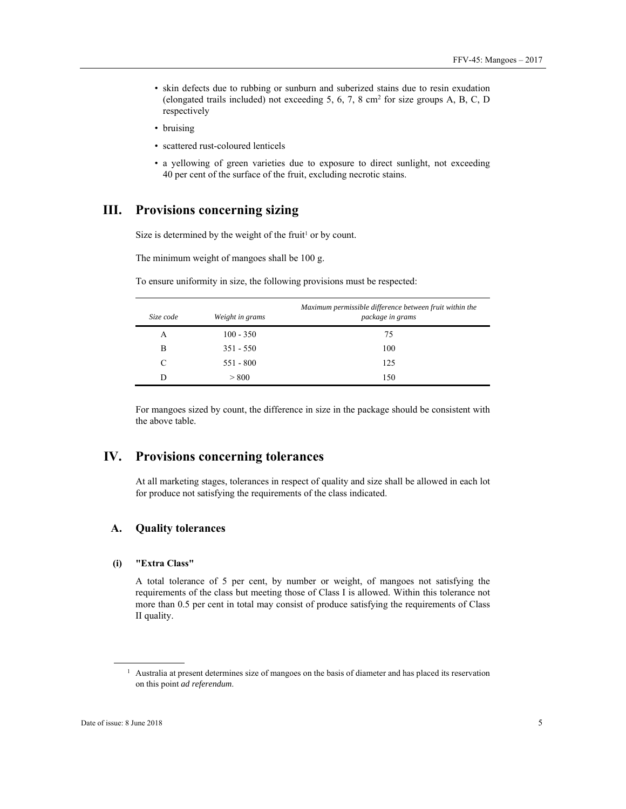- skin defects due to rubbing or sunburn and suberized stains due to resin exudation (elongated trails included) not exceeding 5, 6, 7, 8 cm2 for size groups A, B, C, D respectively
- bruising
- scattered rust-coloured lenticels
- a yellowing of green varieties due to exposure to direct sunlight, not exceeding 40 per cent of the surface of the fruit, excluding necrotic stains.

# **III. Provisions concerning sizing**

Size is determined by the weight of the fruit<sup>1</sup> or by count.

The minimum weight of mangoes shall be 100 g.

| Size code | Weight in grams | Maximum permissible difference between fruit within the<br>package in grams |
|-----------|-----------------|-----------------------------------------------------------------------------|
| А         | $100 - 350$     | 75                                                                          |
| B         | $351 - 550$     | 100                                                                         |
| C         | $551 - 800$     | 125                                                                         |
|           | > 800           | 150                                                                         |

To ensure uniformity in size, the following provisions must be respected:

For mangoes sized by count, the difference in size in the package should be consistent with the above table.

# **IV. Provisions concerning tolerances**

At all marketing stages, tolerances in respect of quality and size shall be allowed in each lot for produce not satisfying the requirements of the class indicated.

#### **A. Quality tolerances**

#### **(i) "Extra Class"**

A total tolerance of 5 per cent, by number or weight, of mangoes not satisfying the requirements of the class but meeting those of Class I is allowed. Within this tolerance not more than 0.5 per cent in total may consist of produce satisfying the requirements of Class II quality.

 $\overline{a}$ 

<sup>&</sup>lt;sup>1</sup> Australia at present determines size of mangoes on the basis of diameter and has placed its reservation on this point *ad referendum*.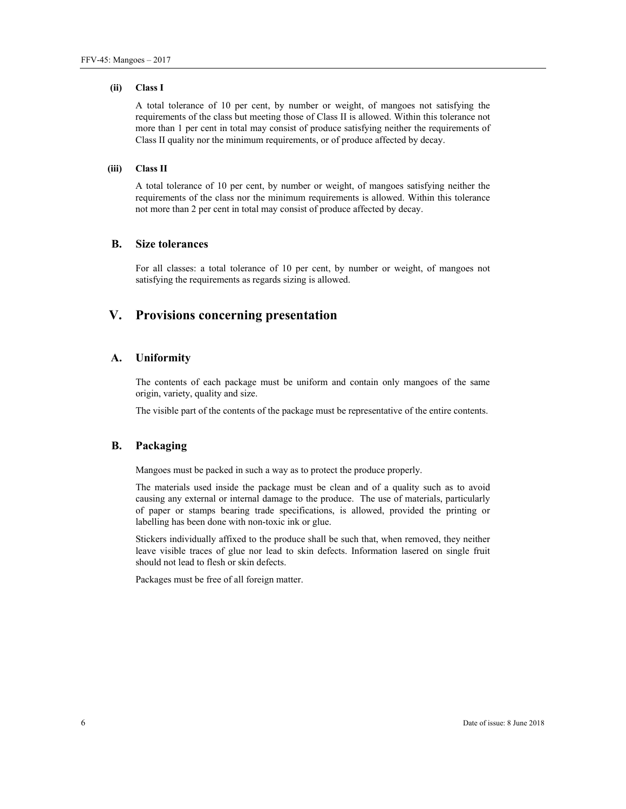#### **(ii) Class I**

A total tolerance of 10 per cent, by number or weight, of mangoes not satisfying the requirements of the class but meeting those of Class II is allowed. Within this tolerance not more than 1 per cent in total may consist of produce satisfying neither the requirements of Class II quality nor the minimum requirements, or of produce affected by decay.

#### **(iii) Class II**

A total tolerance of 10 per cent, by number or weight, of mangoes satisfying neither the requirements of the class nor the minimum requirements is allowed. Within this tolerance not more than 2 per cent in total may consist of produce affected by decay.

#### **B. Size tolerances**

For all classes: a total tolerance of 10 per cent, by number or weight, of mangoes not satisfying the requirements as regards sizing is allowed.

# **V. Provisions concerning presentation**

#### **A. Uniformity**

The contents of each package must be uniform and contain only mangoes of the same origin, variety, quality and size.

The visible part of the contents of the package must be representative of the entire contents.

#### **B. Packaging**

Mangoes must be packed in such a way as to protect the produce properly.

The materials used inside the package must be clean and of a quality such as to avoid causing any external or internal damage to the produce. The use of materials, particularly of paper or stamps bearing trade specifications, is allowed, provided the printing or labelling has been done with non-toxic ink or glue.

Stickers individually affixed to the produce shall be such that, when removed, they neither leave visible traces of glue nor lead to skin defects. Information lasered on single fruit should not lead to flesh or skin defects.

Packages must be free of all foreign matter.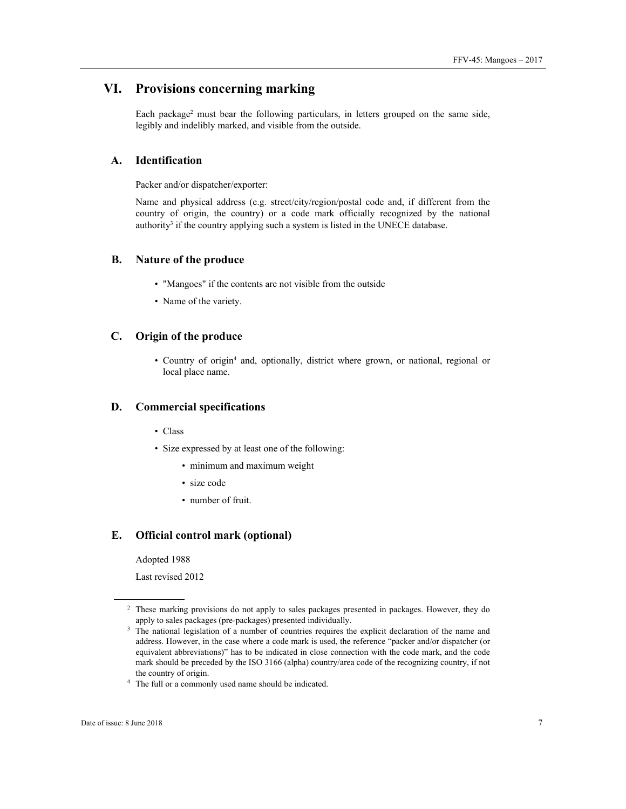# **VI. Provisions concerning marking**

Each package<sup>2</sup> must bear the following particulars, in letters grouped on the same side, legibly and indelibly marked, and visible from the outside.

### **A. Identification**

Packer and/or dispatcher/exporter:

Name and physical address (e.g. street/city/region/postal code and, if different from the country of origin, the country) or a code mark officially recognized by the national authority<sup>3</sup> if the country applying such a system is listed in the UNECE database.

#### **B. Nature of the produce**

- "Mangoes" if the contents are not visible from the outside
- Name of the variety.

#### **C. Origin of the produce**

• Country of origin4 and, optionally, district where grown, or national, regional or local place name.

#### **D. Commercial specifications**

- Class
- Size expressed by at least one of the following:
	- minimum and maximum weight
	- size code
	- number of fruit.

#### **E. Official control mark (optional)**

Adopted 1988

Last revised 2012

 $\overline{a}$ 

<sup>&</sup>lt;sup>2</sup> These marking provisions do not apply to sales packages presented in packages. However, they do apply to sales packages (pre-packages) presented individually.<br><sup>3</sup> The national legislation of a number of countries requires the explicit declaration of the name and

address. However, in the case where a code mark is used, the reference "packer and/or dispatcher (or equivalent abbreviations)" has to be indicated in close connection with the code mark, and the code mark should be preceded by the ISO 3166 (alpha) country/area code of the recognizing country, if not

the country of origin. 4 The full or a commonly used name should be indicated.